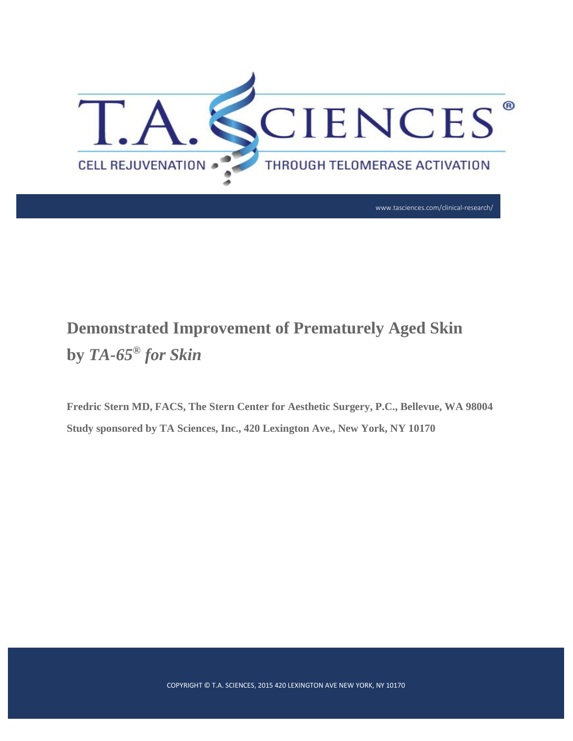

# **Demonstrated Improvement of Prematurely Aged Skin by** *TA-65® for Skin*

**Fredric Stern MD, FACS, The Stern Center for Aesthetic Surgery, P.C., Bellevue, WA 98004 Study sponsored by TA Sciences, Inc., 420 Lexington Ave., New York, NY 10170**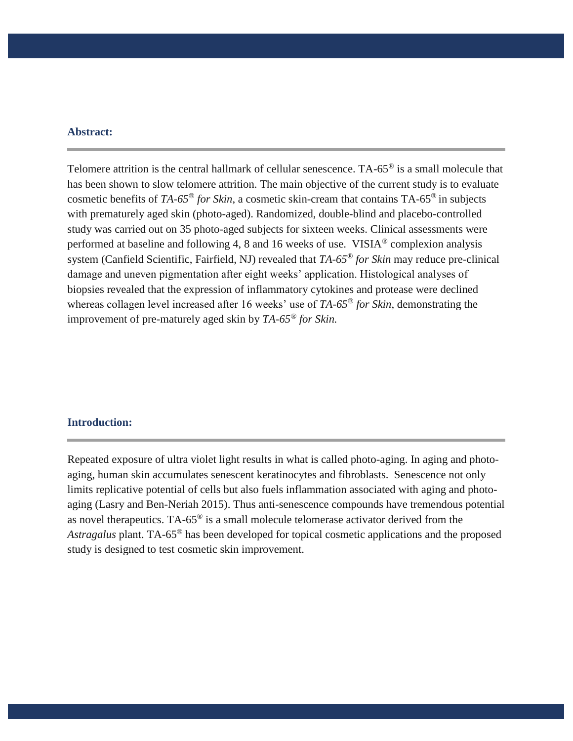#### **Abstract:**

Telomere attrition is the central hallmark of cellular senescence. TA-65® is a small molecule that has been shown to slow telomere attrition. The main objective of the current study is to evaluate cosmetic benefits of *TA-65® for Skin*, a cosmetic skin-cream that contains TA-65® in subjects with prematurely aged skin (photo-aged). Randomized, double-blind and placebo-controlled study was carried out on 35 photo-aged subjects for sixteen weeks. Clinical assessments were performed at baseline and following 4, 8 and 16 weeks of use. VISIA® complexion analysis system (Canfield Scientific, Fairfield, NJ) revealed that *TA-65® for Skin* may reduce pre-clinical damage and uneven pigmentation after eight weeks' application. Histological analyses of biopsies revealed that the expression of inflammatory cytokines and protease were declined whereas collagen level increased after 16 weeks' use of *TA-65® for Skin*, demonstrating the improvement of pre-maturely aged skin by *TA-65® for Skin.* 

#### **Introduction:**

Repeated exposure of ultra violet light results in what is called photo-aging. In aging and photoaging, human skin accumulates senescent keratinocytes and fibroblasts. Senescence not only limits replicative potential of cells but also fuels inflammation associated with aging and photoaging (Lasry and Ben-Neriah 2015). Thus anti-senescence compounds have tremendous potential as novel therapeutics. TA-65® is a small molecule telomerase activator derived from the *Astragalus* plant. TA-65® has been developed for topical cosmetic applications and the proposed study is designed to test cosmetic skin improvement.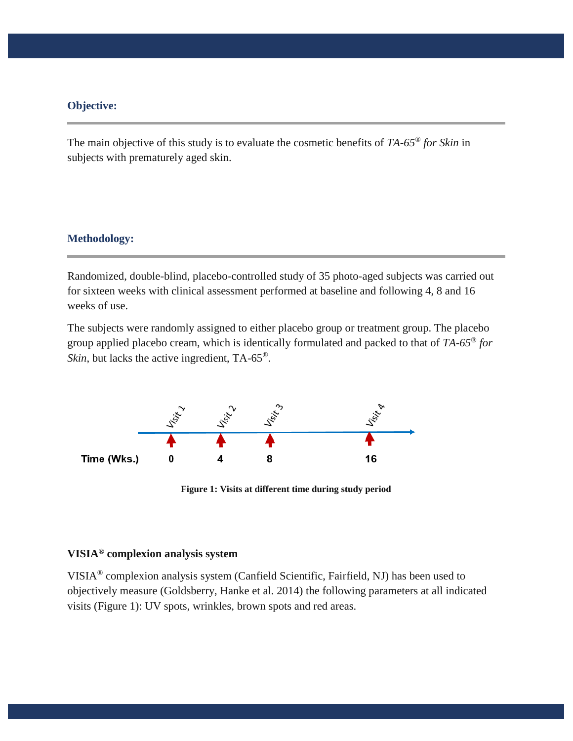### **Objective:**

The main objective of this study is to evaluate the cosmetic benefits of *TA-65® for Skin* in subjects with prematurely aged skin.

#### **Methodology:**

Randomized, double-blind, placebo-controlled study of 35 photo-aged subjects was carried out for sixteen weeks with clinical assessment performed at baseline and following 4, 8 and 16 weeks of use.

The subjects were randomly assigned to either placebo group or treatment group. The placebo group applied placebo cream, which is identically formulated and packed to that of *TA-65® for Skin*, but lacks the active ingredient, TA-65<sup>®</sup>.



**Figure 1: Visits at different time during study period**

## **VISIA® complexion analysis system**

VISIA® complexion analysis system (Canfield Scientific, Fairfield, NJ) has been used to objectively measure (Goldsberry, Hanke et al. 2014) the following parameters at all indicated visits (Figure 1): UV spots, wrinkles, brown spots and red areas.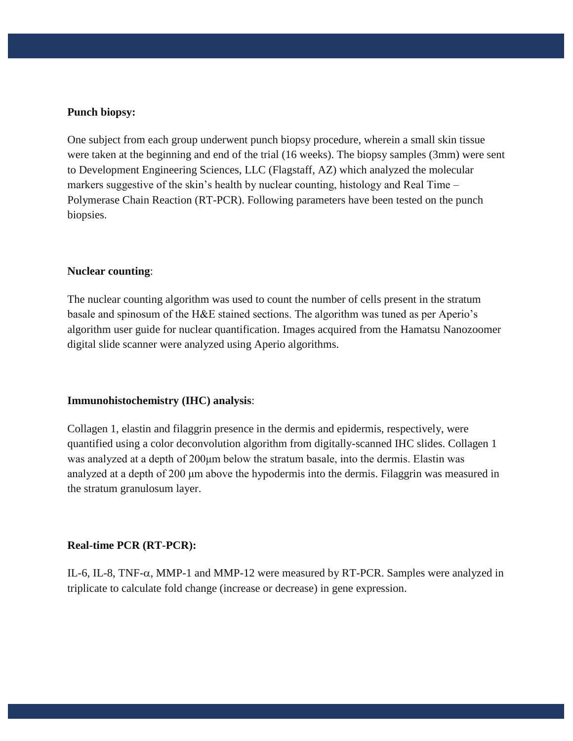#### **Punch biopsy:**

One subject from each group underwent punch biopsy procedure, wherein a small skin tissue were taken at the beginning and end of the trial (16 weeks). The biopsy samples (3mm) were sent to Development Engineering Sciences, LLC (Flagstaff, AZ) which analyzed the molecular markers suggestive of the skin's health by nuclear counting, histology and Real Time – Polymerase Chain Reaction (RT-PCR). Following parameters have been tested on the punch biopsies.

#### **Nuclear counting**:

The nuclear counting algorithm was used to count the number of cells present in the stratum basale and spinosum of the H&E stained sections. The algorithm was tuned as per Aperio's algorithm user guide for nuclear quantification. Images acquired from the Hamatsu Nanozoomer digital slide scanner were analyzed using Aperio algorithms.

#### **Immunohistochemistry (IHC) analysis**:

Collagen 1, elastin and filaggrin presence in the dermis and epidermis, respectively, were quantified using a color deconvolution algorithm from digitally-scanned IHC slides. Collagen 1 was analyzed at a depth of 200μm below the stratum basale, into the dermis. Elastin was analyzed at a depth of 200 μm above the hypodermis into the dermis. Filaggrin was measured in the stratum granulosum layer.

#### **Real-time PCR (RT-PCR):**

IL-6, IL-8, TNF- $\alpha$ , MMP-1 and MMP-12 were measured by RT-PCR. Samples were analyzed in triplicate to calculate fold change (increase or decrease) in gene expression.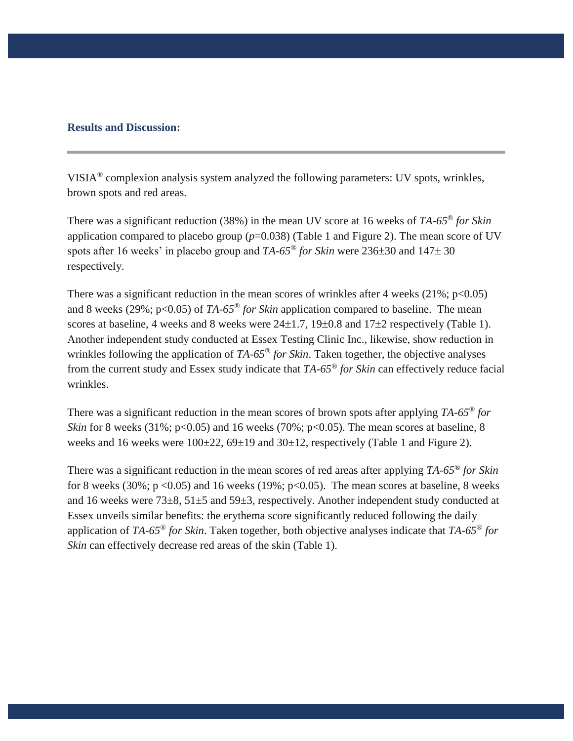#### **Results and Discussion:**

VISIA® complexion analysis system analyzed the following parameters: UV spots, wrinkles, brown spots and red areas.

There was a significant reduction (38%) in the mean UV score at 16 weeks of *TA-65® for Skin*  application compared to placebo group  $(p=0.038)$  (Table 1 and Figure 2). The mean score of UV spots after 16 weeks' in placebo group and  $TA-65^\circ$  *for Skin* were  $236\pm30$  and  $147\pm30$ respectively.

There was a significant reduction in the mean scores of wrinkles after 4 weeks  $(21\%; p<0.05)$ and 8 weeks (29%; p<0.05) of *TA-65<sup>®</sup> for Skin* application compared to baseline. The mean scores at baseline, 4 weeks and 8 weeks were  $24\pm1.7$ ,  $19\pm0.8$  and  $17\pm2$  respectively (Table 1). Another independent study conducted at Essex Testing Clinic Inc., likewise, show reduction in wrinkles following the application of *TA-65® for Skin*. Taken together, the objective analyses from the current study and Essex study indicate that *TA-65® for Skin* can effectively reduce facial wrinkles.

There was a significant reduction in the mean scores of brown spots after applying *TA-65® for Skin* for 8 weeks (31%;  $p<0.05$ ) and 16 weeks (70%;  $p<0.05$ ). The mean scores at baseline, 8 weeks and 16 weeks were  $100\pm 22$ ,  $69\pm 19$  and  $30\pm 12$ , respectively (Table 1 and Figure 2).

There was a significant reduction in the mean scores of red areas after applying *TA-65® for Skin* for 8 weeks (30%;  $p \le 0.05$ ) and 16 weeks (19%;  $p \le 0.05$ ). The mean scores at baseline, 8 weeks and 16 weeks were 73±8, 51±5 and 59±3, respectively. Another independent study conducted at Essex unveils similar benefits: the erythema score significantly reduced following the daily application of *TA-65® for Skin*. Taken together, both objective analyses indicate that *TA-65® for Skin* can effectively decrease red areas of the skin (Table 1).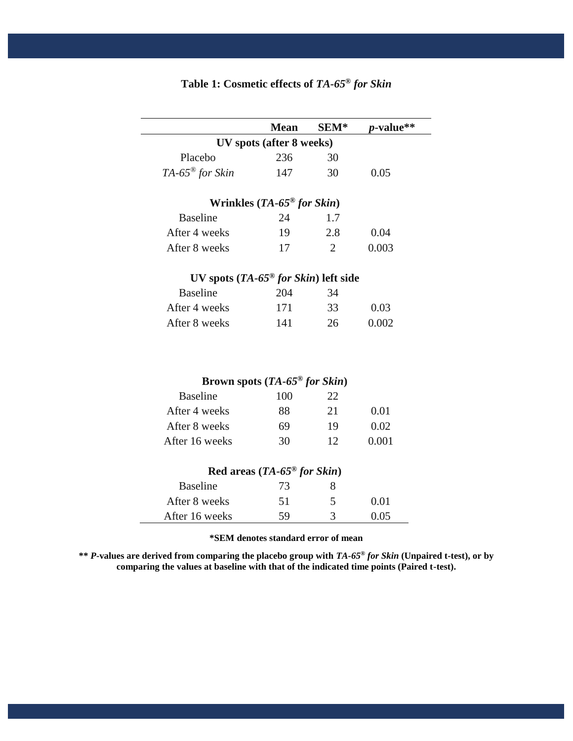|                                                    | <b>Mean</b>                                 | SEM*           | <i>p</i> -value** |
|----------------------------------------------------|---------------------------------------------|----------------|-------------------|
| UV spots (after 8 weeks)                           |                                             |                |                   |
| Placebo                                            | 236                                         | 30             |                   |
| TA-65 <sup>®</sup> for Skin                        | 147                                         | 30             | 0.05              |
| Wrinkles $(TA-65^{\circ\circ}$ for Skin)           |                                             |                |                   |
| <b>Baseline</b>                                    | 24                                          | 1.7            |                   |
| After 4 weeks                                      | 19                                          | 2.8            | 0.04              |
| After 8 weeks                                      | 17                                          | $\overline{2}$ | 0.003             |
| UV spots $(TA-65^{\circ\circ}$ for Skin) left side |                                             |                |                   |
| <b>Baseline</b>                                    | 204                                         | 34             |                   |
| After 4 weeks                                      | 171                                         | 33             | 0.03              |
| After 8 weeks                                      | 141                                         | 26             | 0.002             |
|                                                    | Brown spots $(TA-65^{\circ\circ}$ for Skin) |                |                   |
| <b>Baseline</b>                                    | 100                                         | 22             |                   |
| After 4 weeks                                      | 88                                          | 21             | 0.01              |
| After 8 weeks                                      | 69                                          | 19             | 0.02              |
| After 16 weeks                                     | 30                                          | 12             | 0.001             |
|                                                    | Red areas $(TA-65^{\circ\circ}$ for Skin)   |                |                   |
| <b>Baseline</b>                                    | 73                                          | 8              |                   |
| After 8 weeks                                      | 51                                          | 5              | 0.01              |
| After 16 weeks                                     | 59                                          | 3              | 0.05              |

# **Table 1: Cosmetic effects of** *TA-65® for Skin*

#### **\*SEM denotes standard error of mean**

**\*\*** *P***-values are derived from comparing the placebo group with** *TA-65® for Skin* **(Unpaired t-test), or by comparing the values at baseline with that of the indicated time points (Paired t-test).**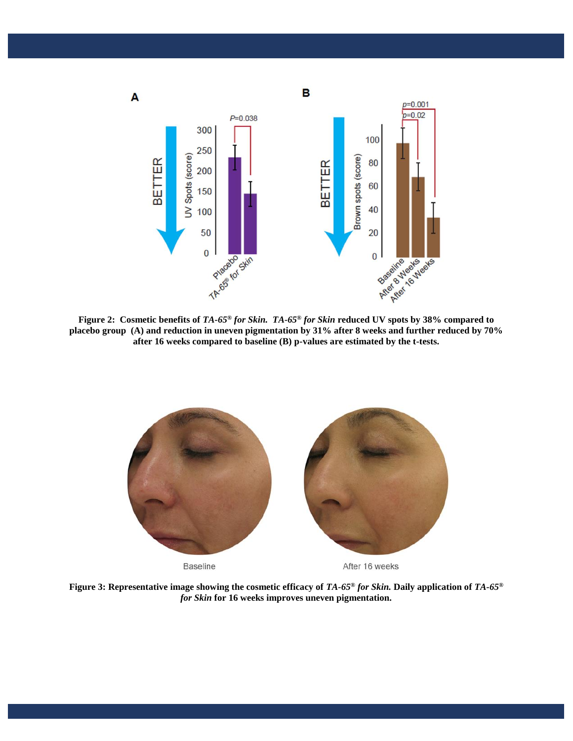

**placebo group (A) and reduction in uneven pigmentation by 31% after 8 weeks and further reduced by 70% after 16 weeks compared to baseline (B) p-values are estimated by the t-tests.**



**Figure 3: Representative image showing the cosmetic efficacy of** *TA-65® for Skin.* **Daily application of** *TA-65® for Skin* **for 16 weeks improves uneven pigmentation.**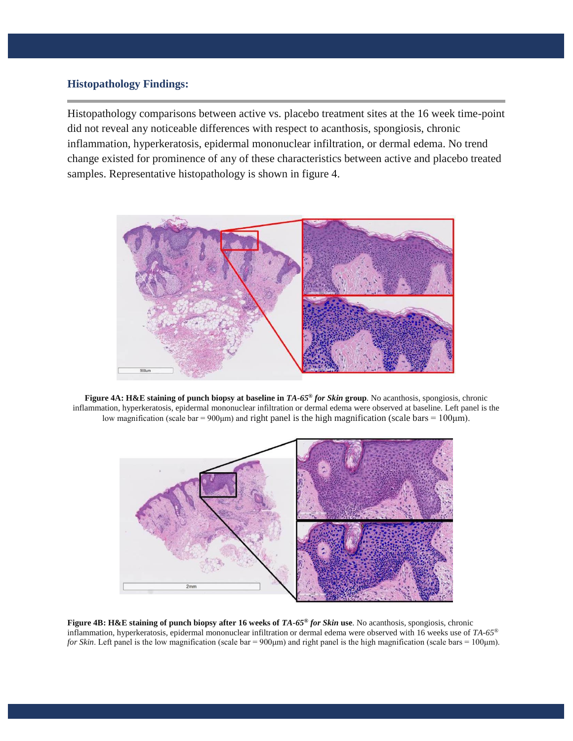#### **Histopathology Findings:**

Histopathology comparisons between active vs. placebo treatment sites at the 16 week time-point did not reveal any noticeable differences with respect to acanthosis, spongiosis, chronic inflammation, hyperkeratosis, epidermal mononuclear infiltration, or dermal edema. No trend change existed for prominence of any of these characteristics between active and placebo treated samples. Representative histopathology is shown in figure 4.



**Figure 4A: H&E staining of punch biopsy at baseline in** *TA-65® for Skin* **group**. No acanthosis, spongiosis, chronic inflammation, hyperkeratosis, epidermal mononuclear infiltration or dermal edema were observed at baseline. Left panel is the low magnification (scale bar =  $900 \mu m$ ) and right panel is the high magnification (scale bars =  $100 \mu m$ ).



**Figure 4B: H&E staining of punch biopsy after 16 weeks of** *TA-65® for Skin* **use**. No acanthosis, spongiosis, chronic inflammation, hyperkeratosis, epidermal mononuclear infiltration or dermal edema were observed with 16 weeks use of *TA-65® for Skin*. Left panel is the low magnification (scale bar = 900μm) and right panel is the high magnification (scale bars = 100μm).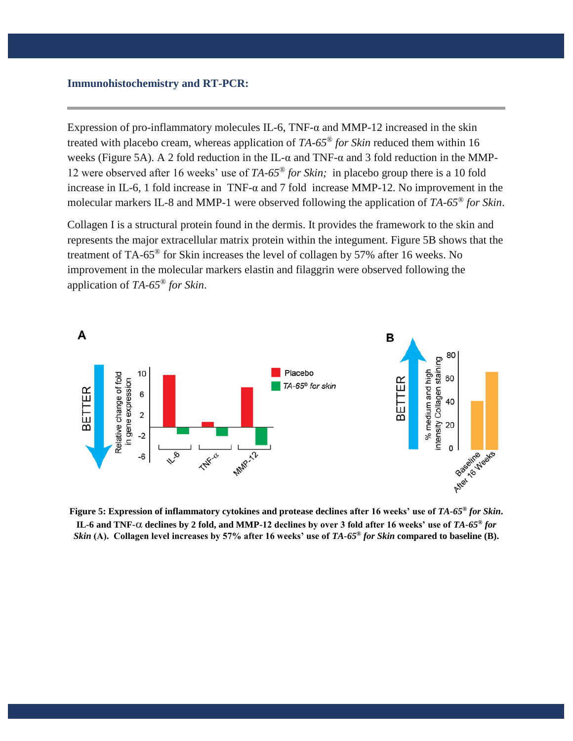#### **Immunohistochemistry and RT-PCR:**

Expression of pro-inflammatory molecules IL-6, TNF- $\alpha$  and MMP-12 increased in the skin treated with placebo cream, whereas application of *TA-65® for Skin* reduced them within 16 weeks (Figure 5A). A 2 fold reduction in the IL- $\alpha$  and TNF- $\alpha$  and 3 fold reduction in the MMP-12 were observed after 16 weeks' use of *TA-65® for Skin;* in placebo group there is a 10 fold increase in IL-6, 1 fold increase in TNF- $\alpha$  and 7 fold increase MMP-12. No improvement in the molecular markers IL-8 and MMP-1 were observed following the application of *TA-65® for Skin*.

Collagen I is a structural protein found in the dermis. It provides the framework to the skin and represents the major extracellular matrix protein within the integument. Figure 5B shows that the treatment of TA-65® for Skin increases the level of collagen by 57% after 16 weeks. No improvement in the molecular markers elastin and filaggrin were observed following the application of *TA-65® for Skin*.



**Figure 5: Expression of inflammatory cytokines and protease declines after 16 weeks' use of** *TA-65® for Skin***.**  IL-6 and TNF- $\alpha$  declines by 2 fold, and MMP-12 declines by over 3 fold after 16 weeks' use of  $TA$ -65<sup>®</sup> for *Skin* **(A). Collagen level increases by 57% after 16 weeks' use of** *TA-65® for Skin* **compared to baseline (B).**